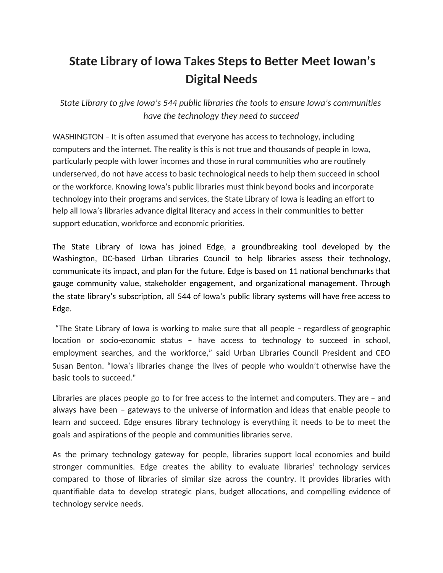## **State Library of Iowa Takes Steps to Better Meet Iowan's Digital Needs**

*State Library to give Iowa's 544 public libraries the tools to ensure Iowa's communities have the technology they need to succeed*

WASHINGTON – It is often assumed that everyone has access to technology, including computers and the internet. The reality is this is not true and thousands of people in Iowa, particularly people with lower incomes and those in rural communities who are routinely underserved, do not have access to basic technological needs to help them succeed in school or the workforce. Knowing Iowa's public libraries must think beyond books and incorporate technology into their programs and services, the State Library of Iowa is leading an effort to help all Iowa's libraries advance digital literacy and access in their communities to better support education, workforce and economic priorities.

The State Library of Iowa has joined Edge, a groundbreaking tool developed by the Washington, DC-based Urban Libraries Council to help libraries assess their technology, communicate its impact, and plan for the future. Edge is based on 11 national benchmarks that gauge community value, stakeholder engagement, and organizational management. Through the state library's subscription, all 544 of Iowa's public library systems will have free access to Edge.

"The State Library of Iowa is working to make sure that all people – regardless of geographic location or socio-economic status – have access to technology to succeed in school, employment searches, and the workforce," said Urban Libraries Council President and CEO Susan Benton. "Iowa's libraries change the lives of people who wouldn't otherwise have the basic tools to succeed."

Libraries are places people go to for free access to the internet and computers. They are – and always have been – gateways to the universe of information and ideas that enable people to learn and succeed. Edge ensures library technology is everything it needs to be to meet the goals and aspirations of the people and communities libraries serve.

As the primary technology gateway for people, libraries support local economies and build stronger communities. Edge creates the ability to evaluate libraries' technology services compared to those of libraries of similar size across the country. It provides libraries with quantifiable data to develop strategic plans, budget allocations, and compelling evidence of technology service needs.